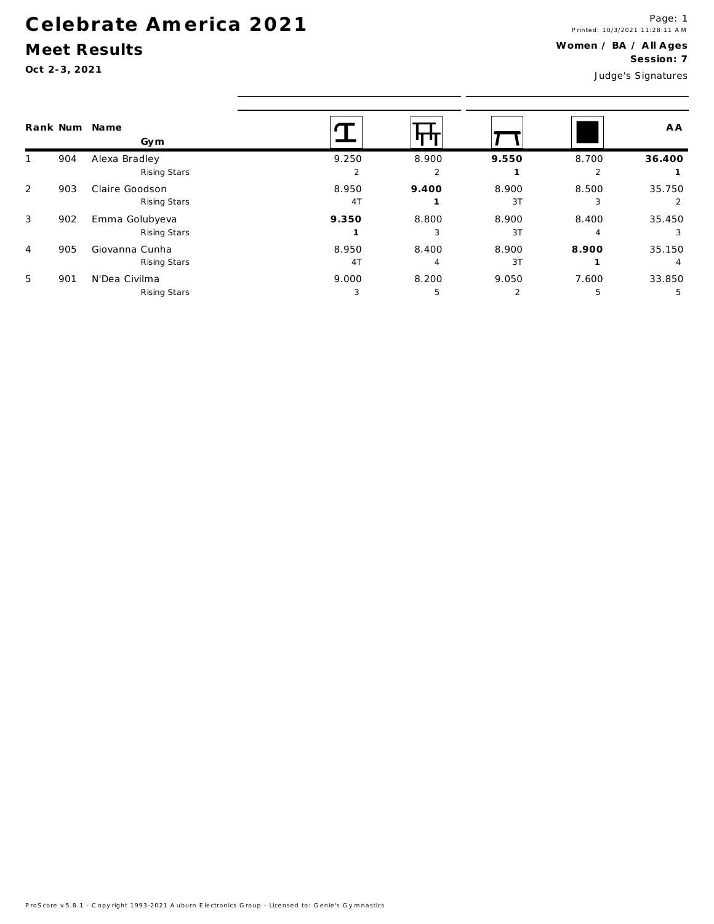## Celebrate America 2021

## Meet Results

Oct 2-3, 2021

Judge's Signatures

| Rank Num       |     | Name<br>Gym                    |             |            |             |            | A A         |
|----------------|-----|--------------------------------|-------------|------------|-------------|------------|-------------|
|                | 904 | Alexa Bradley<br>Rising Stars  | 9.250<br>2  | 8.900<br>2 | 9.550       | 8.700<br>2 | 36.400      |
| 2              | 903 | Claire Goodson<br>Rising Stars | 8.950<br>4T | 9.400      | 8.900<br>3T | 8.500<br>3 | 35.750      |
| 3              | 902 | Emma Golubyeva<br>Rising Stars | 9.350       | 8.800<br>3 | 8.900<br>3T | 8.400<br>4 | 35.450      |
| $\overline{4}$ | 905 | Giovanna Cunha<br>Rising Stars | 8.950<br>4T | 8.400<br>4 | 8.900<br>3T | 8.900      | 35.150<br>4 |
| 5              | 901 | N'Dea Civilma<br>Rising Stars  | 9.000<br>3  | 8.200<br>5 | 9.050<br>2  | 7.600<br>5 | 33.850<br>5 |